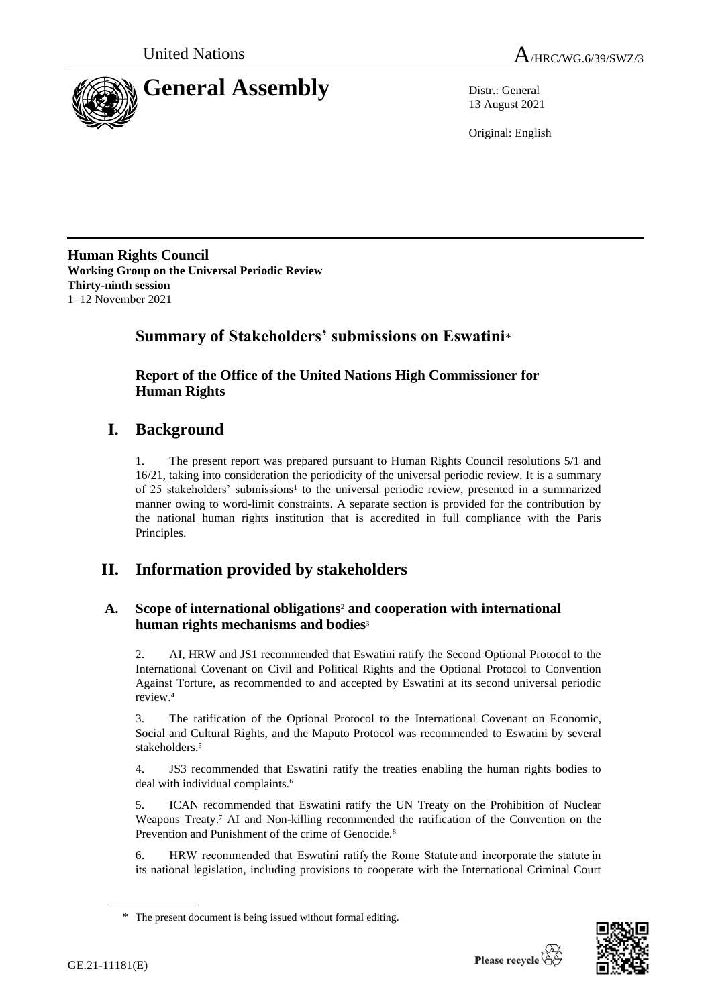



13 August 2021

Original: English

**Human Rights Council Working Group on the Universal Periodic Review Thirty-ninth session** 1–12 November 2021

# **Summary of Stakeholders' submissions on Eswatini**\*

**Report of the Office of the United Nations High Commissioner for Human Rights**

# **I. Background**

1. The present report was prepared pursuant to Human Rights Council resolutions 5/1 and 16/21, taking into consideration the periodicity of the universal periodic review. It is a summary of 25 stakeholders' submissions<sup>1</sup> to the universal periodic review, presented in a summarized manner owing to word-limit constraints. A separate section is provided for the contribution by the national human rights institution that is accredited in full compliance with the Paris Principles.

# **II. Information provided by stakeholders**

# **A. Scope of international obligations**<sup>2</sup> **and cooperation with international human rights mechanisms and bodies**<sup>3</sup>

2. AI, HRW and JS1 recommended that Eswatini ratify the Second Optional Protocol to the International Covenant on Civil and Political Rights and the Optional Protocol to Convention Against Torture, as recommended to and accepted by Eswatini at its second universal periodic review.<sup>4</sup>

3. The ratification of the Optional Protocol to the International Covenant on Economic, Social and Cultural Rights, and the Maputo Protocol was recommended to Eswatini by several stakeholders. 5

4. JS3 recommended that Eswatini ratify the treaties enabling the human rights bodies to deal with individual complaints.<sup>6</sup>

5. ICAN recommended that Eswatini ratify the UN Treaty on the Prohibition of Nuclear Weapons Treaty.<sup>7</sup> AI and Non-killing recommended the ratification of the Convention on the Prevention and Punishment of the crime of Genocide.<sup>8</sup>

6. HRW recommended that Eswatini ratify the Rome Statute and incorporate the statute in its national legislation, including provisions to cooperate with the International Criminal Court



<sup>\*</sup> The present document is being issued without formal editing.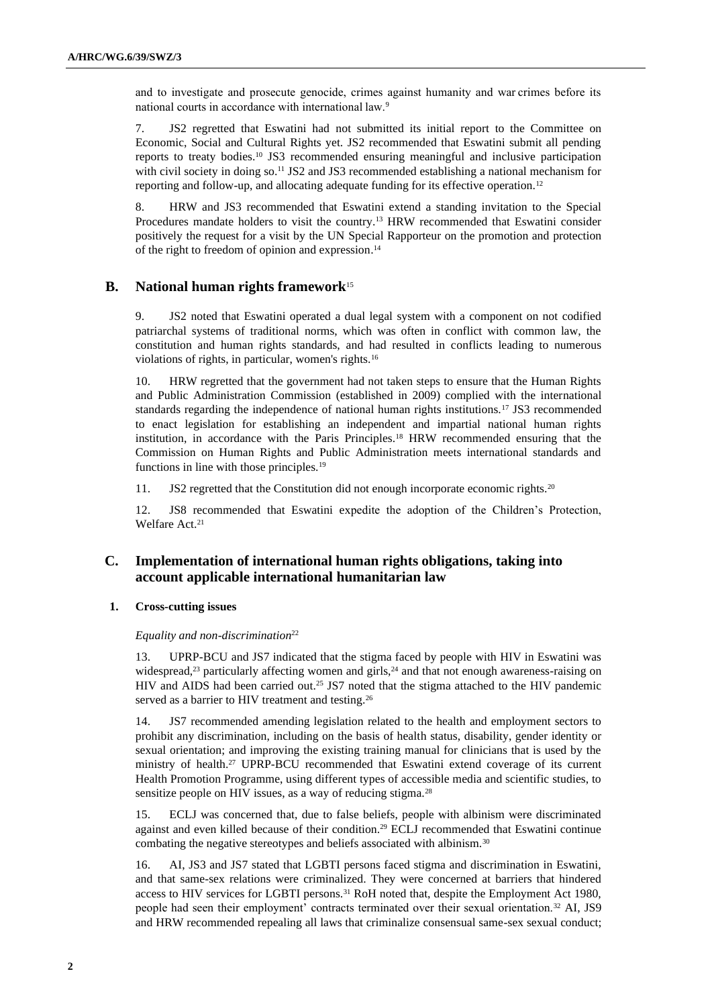and to investigate and prosecute genocide, crimes against humanity and war crimes before its national courts in accordance with international law.<sup>9</sup>

7. JS2 regretted that Eswatini had not submitted its initial report to the Committee on Economic, Social and Cultural Rights yet. JS2 recommended that Eswatini submit all pending reports to treaty bodies.<sup>10</sup> JS3 recommended ensuring meaningful and inclusive participation with civil society in doing so.<sup>11</sup> JS2 and JS3 recommended establishing a national mechanism for reporting and follow-up, and allocating adequate funding for its effective operation.<sup>12</sup>

8. HRW and JS3 recommended that Eswatini extend a standing invitation to the Special Procedures mandate holders to visit the country.<sup>13</sup> HRW recommended that Eswatini consider positively the request for a visit by the UN Special Rapporteur on the promotion and protection of the right to freedom of opinion and expression. 14

# **B. National human rights framework**<sup>15</sup>

9. JS2 noted that Eswatini operated a dual legal system with a component on not codified patriarchal systems of traditional norms, which was often in conflict with common law, the constitution and human rights standards, and had resulted in conflicts leading to numerous violations of rights, in particular, women's rights.<sup>16</sup>

10. HRW regretted that the government had not taken steps to ensure that the Human Rights and Public Administration Commission (established in 2009) complied with the international standards regarding the independence of national human rights institutions.<sup>17</sup> JS3 recommended to enact legislation for establishing an independent and impartial national human rights institution, in accordance with the Paris Principles.<sup>18</sup> HRW recommended ensuring that the Commission on Human Rights and Public Administration meets international standards and functions in line with those principles.<sup>19</sup>

11. JS2 regretted that the Constitution did not enough incorporate economic rights.<sup>20</sup>

12. JS8 recommended that Eswatini expedite the adoption of the Children's Protection, Welfare Act.<sup>21</sup>

# **C. Implementation of international human rights obligations, taking into account applicable international humanitarian law**

## **1. Cross-cutting issues**

## *Equality and non-discrimination*<sup>22</sup>

13. UPRP-BCU and JS7 indicated that the stigma faced by people with HIV in Eswatini was widespread,<sup>23</sup> particularly affecting women and girls,<sup>24</sup> and that not enough awareness-raising on HIV and AIDS had been carried out.<sup>25</sup> JS7 noted that the stigma attached to the HIV pandemic served as a barrier to HIV treatment and testing.<sup>26</sup>

14. JS7 recommended amending legislation related to the health and employment sectors to prohibit any discrimination, including on the basis of health status, disability, gender identity or sexual orientation; and improving the existing training manual for clinicians that is used by the ministry of health.<sup>27</sup> UPRP-BCU recommended that Eswatini extend coverage of its current Health Promotion Programme, using different types of accessible media and scientific studies, to sensitize people on HIV issues, as a way of reducing stigma.<sup>28</sup>

15. ECLJ was concerned that, due to false beliefs, people with albinism were discriminated against and even killed because of their condition.<sup>29</sup> ECLJ recommended that Eswatini continue combating the negative stereotypes and beliefs associated with albinism.<sup>30</sup>

16. AI, JS3 and JS7 stated that LGBTI persons faced stigma and discrimination in Eswatini, and that same-sex relations were criminalized. They were concerned at barriers that hindered access to HIV services for LGBTI persons.<sup>31</sup> RoH noted that, despite the Employment Act 1980, people had seen their employment' contracts terminated over their sexual orientation.<sup>32</sup> AI, JS9 and HRW recommended repealing all laws that criminalize consensual same-sex sexual conduct;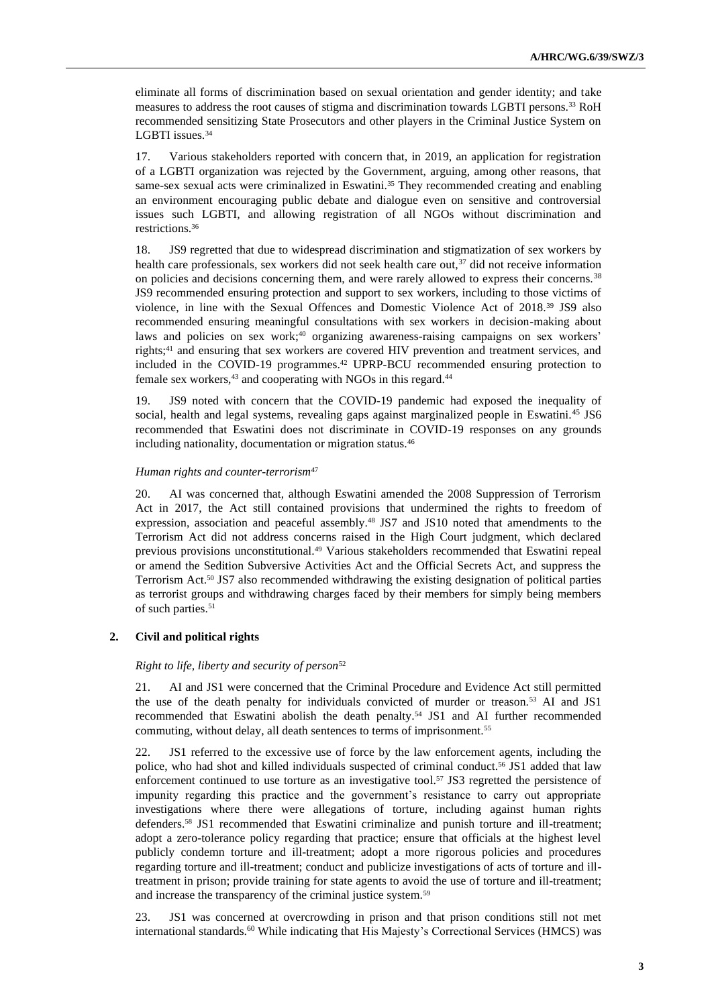eliminate all forms of discrimination based on sexual orientation and gender identity; and take measures to address the root causes of stigma and discrimination towards LGBTI persons.<sup>33</sup> RoH recommended sensitizing State Prosecutors and other players in the Criminal Justice System on LGBTI issues.<sup>34</sup>

17. Various stakeholders reported with concern that, in 2019, an application for registration of a LGBTI organization was rejected by the Government, arguing, among other reasons, that same-sex sexual acts were criminalized in Eswatini.<sup>35</sup> They recommended creating and enabling an environment encouraging public debate and dialogue even on sensitive and controversial issues such LGBTI, and allowing registration of all NGOs without discrimination and restrictions.<sup>36</sup>

18. JS9 regretted that due to widespread discrimination and stigmatization of sex workers by health care professionals, sex workers did not seek health care out,  $37$  did not receive information on policies and decisions concerning them, and were rarely allowed to express their concerns.<sup>38</sup> JS9 recommended ensuring protection and support to sex workers, including to those victims of violence, in line with the Sexual Offences and Domestic Violence Act of 2018.<sup>39</sup> JS9 also recommended ensuring meaningful consultations with sex workers in decision-making about laws and policies on sex work;<sup>40</sup> organizing awareness-raising campaigns on sex workers' rights;<sup>41</sup> and ensuring that sex workers are covered HIV prevention and treatment services, and included in the COVID-19 programmes.<sup>42</sup> UPRP-BCU recommended ensuring protection to female sex workers,<sup>43</sup> and cooperating with NGOs in this regard.<sup>44</sup>

19. JS9 noted with concern that the COVID-19 pandemic had exposed the inequality of social, health and legal systems, revealing gaps against marginalized people in Eswatini.<sup>45</sup> JS6 recommended that Eswatini does not discriminate in COVID-19 responses on any grounds including nationality, documentation or migration status.<sup>46</sup>

#### *Human rights and counter-terrorism*<sup>47</sup>

20. AI was concerned that, although Eswatini amended the 2008 Suppression of Terrorism Act in 2017, the Act still contained provisions that undermined the rights to freedom of expression, association and peaceful assembly.<sup>48</sup> JS7 and JS10 noted that amendments to the Terrorism Act did not address concerns raised in the High Court judgment, which declared previous provisions unconstitutional.<sup>49</sup> Various stakeholders recommended that Eswatini repeal or amend the Sedition Subversive Activities Act and the Official Secrets Act, and suppress the Terrorism Act.<sup>50</sup> JS7 also recommended withdrawing the existing designation of political parties as terrorist groups and withdrawing charges faced by their members for simply being members of such parties.<sup>51</sup>

#### **2. Civil and political rights**

### *Right to life, liberty and security of person*<sup>52</sup>

21. AI and JS1 were concerned that the Criminal Procedure and Evidence Act still permitted the use of the death penalty for individuals convicted of murder or treason.<sup>53</sup> AI and JS1 recommended that Eswatini abolish the death penalty.<sup>54</sup> JS1 and AI further recommended commuting, without delay, all death sentences to terms of imprisonment.<sup>55</sup>

22. JS1 referred to the excessive use of force by the law enforcement agents, including the police, who had shot and killed individuals suspected of criminal conduct.<sup>56</sup> JS1 added that law enforcement continued to use torture as an investigative tool.<sup>57</sup> JS3 regretted the persistence of impunity regarding this practice and the government's resistance to carry out appropriate investigations where there were allegations of torture, including against human rights defenders.<sup>58</sup> JS1 recommended that Eswatini criminalize and punish torture and ill-treatment; adopt a zero-tolerance policy regarding that practice; ensure that officials at the highest level publicly condemn torture and ill-treatment; adopt a more rigorous policies and procedures regarding torture and ill-treatment; conduct and publicize investigations of acts of torture and illtreatment in prison; provide training for state agents to avoid the use of torture and ill-treatment; and increase the transparency of the criminal justice system.<sup>59</sup>

23. JS1 was concerned at overcrowding in prison and that prison conditions still not met international standards.<sup>60</sup> While indicating that His Majesty's Correctional Services (HMCS) was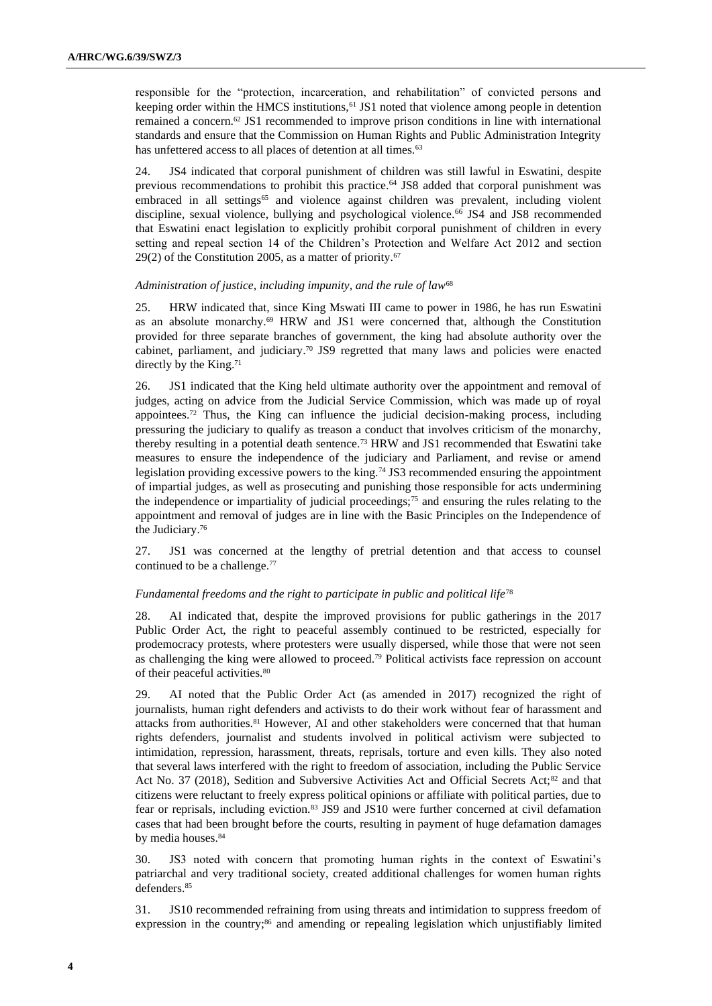responsible for the "protection, incarceration, and rehabilitation" of convicted persons and keeping order within the HMCS institutions, <sup>61</sup> JS1 noted that violence among people in detention remained a concern.<sup>62</sup> JS1 recommended to improve prison conditions in line with international standards and ensure that the Commission on Human Rights and Public Administration Integrity has unfettered access to all places of detention at all times.<sup>63</sup>

24. JS4 indicated that corporal punishment of children was still lawful in Eswatini, despite previous recommendations to prohibit this practice.<sup>64</sup> JS8 added that corporal punishment was embraced in all settings<sup>65</sup> and violence against children was prevalent, including violent discipline, sexual violence, bullying and psychological violence.<sup>66</sup> JS4 and JS8 recommended that Eswatini enact legislation to explicitly prohibit corporal punishment of children in every setting and repeal section 14 of the Children's Protection and Welfare Act 2012 and section  $29(2)$  of the Constitution 2005, as a matter of priority.<sup>67</sup>

### *Administration of justice, including impunity, and the rule of law*<sup>68</sup>

25. HRW indicated that, since King Mswati III came to power in 1986, he has run Eswatini as an absolute monarchy.<sup>69</sup> HRW and JS1 were concerned that, although the Constitution provided for three separate branches of government, the king had absolute authority over the cabinet, parliament, and judiciary.<sup>70</sup> JS9 regretted that many laws and policies were enacted directly by the King.<sup>71</sup>

26. JS1 indicated that the King held ultimate authority over the appointment and removal of judges, acting on advice from the Judicial Service Commission, which was made up of royal appointees.<sup>72</sup> Thus, the King can influence the judicial decision-making process, including pressuring the judiciary to qualify as treason a conduct that involves criticism of the monarchy, thereby resulting in a potential death sentence.<sup>73</sup> HRW and JS1 recommended that Eswatini take measures to ensure the independence of the judiciary and Parliament, and revise or amend legislation providing excessive powers to the king.<sup>74</sup> JS3 recommended ensuring the appointment of impartial judges, as well as prosecuting and punishing those responsible for acts undermining the independence or impartiality of judicial proceedings;<sup>75</sup> and ensuring the rules relating to the appointment and removal of judges are in line with the Basic Principles on the Independence of the Judiciary. 76

27. JS1 was concerned at the lengthy of pretrial detention and that access to counsel continued to be a challenge.<sup>77</sup>

### *Fundamental freedoms and the right to participate in public and political life*<sup>78</sup>

28. AI indicated that, despite the improved provisions for public gatherings in the 2017 Public Order Act, the right to peaceful assembly continued to be restricted, especially for prodemocracy protests, where protesters were usually dispersed, while those that were not seen as challenging the king were allowed to proceed.<sup>79</sup> Political activists face repression on account of their peaceful activities.<sup>80</sup>

29. AI noted that the Public Order Act (as amended in 2017) recognized the right of journalists, human right defenders and activists to do their work without fear of harassment and attacks from authorities.<sup>81</sup> However, AI and other stakeholders were concerned that that human rights defenders, journalist and students involved in political activism were subjected to intimidation, repression, harassment, threats, reprisals, torture and even kills. They also noted that several laws interfered with the right to freedom of association, including the Public Service Act No. 37 (2018), Sedition and Subversive Activities Act and Official Secrets Act;<sup>82</sup> and that citizens were reluctant to freely express political opinions or affiliate with political parties, due to fear or reprisals, including eviction.<sup>83</sup> JS9 and JS10 were further concerned at civil defamation cases that had been brought before the courts, resulting in payment of huge defamation damages by media houses.<sup>84</sup>

30. JS3 noted with concern that promoting human rights in the context of Eswatini's patriarchal and very traditional society, created additional challenges for women human rights defenders.<sup>85</sup>

31. JS10 recommended refraining from using threats and intimidation to suppress freedom of expression in the country; $86$  and amending or repealing legislation which unjustifiably limited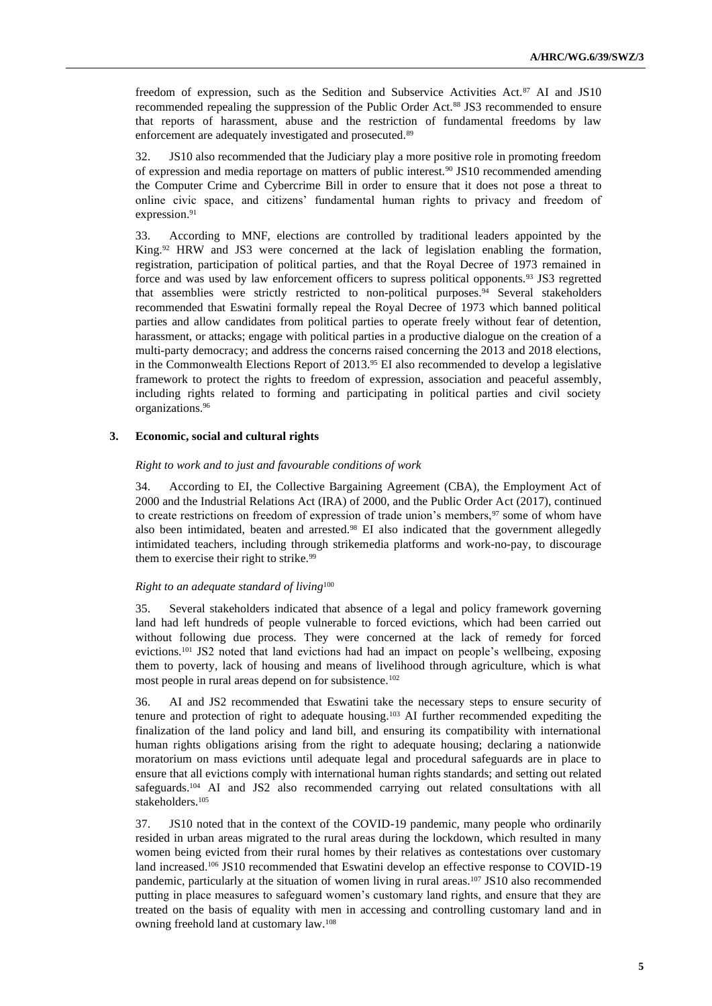freedom of expression, such as the Sedition and Subservice Activities Act.<sup>87</sup> AI and JS10 recommended repealing the suppression of the Public Order Act.<sup>88</sup> JS3 recommended to ensure that reports of harassment, abuse and the restriction of fundamental freedoms by law enforcement are adequately investigated and prosecuted.<sup>89</sup>

32. JS10 also recommended that the Judiciary play a more positive role in promoting freedom of expression and media reportage on matters of public interest.<sup>90</sup> JS10 recommended amending the Computer Crime and Cybercrime Bill in order to ensure that it does not pose a threat to online civic space, and citizens' fundamental human rights to privacy and freedom of expression.<sup>91</sup>

33. According to MNF, elections are controlled by traditional leaders appointed by the King.<sup>92</sup> HRW and JS3 were concerned at the lack of legislation enabling the formation, registration, participation of political parties, and that the Royal Decree of 1973 remained in force and was used by law enforcement officers to supress political opponents.<sup>93</sup> JS3 regretted that assemblies were strictly restricted to non-political purposes.<sup>94</sup> Several stakeholders recommended that Eswatini formally repeal the Royal Decree of 1973 which banned political parties and allow candidates from political parties to operate freely without fear of detention, harassment, or attacks; engage with political parties in a productive dialogue on the creation of a multi-party democracy; and address the concerns raised concerning the 2013 and 2018 elections, in the Commonwealth Elections Report of 2013.<sup>95</sup> EI also recommended to develop a legislative framework to protect the rights to freedom of expression, association and peaceful assembly, including rights related to forming and participating in political parties and civil society organizations.<sup>96</sup>

#### **3. Economic, social and cultural rights**

#### *Right to work and to just and favourable conditions of work*

34. According to EI, the Collective Bargaining Agreement (CBA), the Employment Act of 2000 and the Industrial Relations Act (IRA) of 2000, and the Public Order Act (2017), continued to create restrictions on freedom of expression of trade union's members,<sup>97</sup> some of whom have also been intimidated, beaten and arrested.<sup>98</sup> EI also indicated that the government allegedly intimidated teachers, including through strikemedia platforms and work-no-pay, to discourage them to exercise their right to strike.<sup>99</sup>

## *Right to an adequate standard of living*<sup>100</sup>

35. Several stakeholders indicated that absence of a legal and policy framework governing land had left hundreds of people vulnerable to forced evictions, which had been carried out without following due process. They were concerned at the lack of remedy for forced evictions.<sup>101</sup> JS2 noted that land evictions had had an impact on people's wellbeing, exposing them to poverty, lack of housing and means of livelihood through agriculture, which is what most people in rural areas depend on for subsistence.<sup>102</sup>

36. AI and JS2 recommended that Eswatini take the necessary steps to ensure security of tenure and protection of right to adequate housing.<sup>103</sup> AI further recommended expediting the finalization of the land policy and land bill, and ensuring its compatibility with international human rights obligations arising from the right to adequate housing; declaring a nationwide moratorium on mass evictions until adequate legal and procedural safeguards are in place to ensure that all evictions comply with international human rights standards; and setting out related safeguards.<sup>104</sup> AI and JS2 also recommended carrying out related consultations with all stakeholders.<sup>105</sup>

37. JS10 noted that in the context of the COVID-19 pandemic, many people who ordinarily resided in urban areas migrated to the rural areas during the lockdown, which resulted in many women being evicted from their rural homes by their relatives as contestations over customary land increased.<sup>106</sup> JS10 recommended that Eswatini develop an effective response to COVID-19 pandemic, particularly at the situation of women living in rural areas.<sup>107</sup> JS10 also recommended putting in place measures to safeguard women's customary land rights, and ensure that they are treated on the basis of equality with men in accessing and controlling customary land and in owning freehold land at customary law.108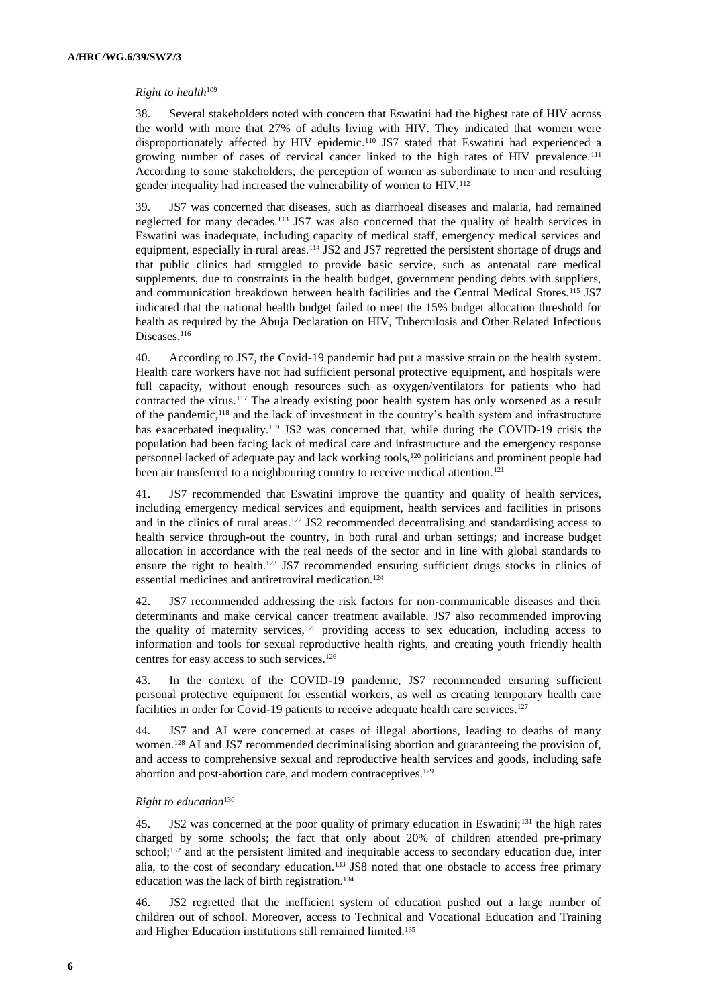#### *Right to health*<sup>109</sup>

38. Several stakeholders noted with concern that Eswatini had the highest rate of HIV across the world with more that 27% of adults living with HIV. They indicated that women were disproportionately affected by HIV epidemic. <sup>110</sup> JS7 stated that Eswatini had experienced a growing number of cases of cervical cancer linked to the high rates of HIV prevalence.<sup>111</sup> According to some stakeholders, the perception of women as subordinate to men and resulting gender inequality had increased the vulnerability of women to HIV.<sup>112</sup>

39. JS7 was concerned that diseases, such as diarrhoeal diseases and malaria, had remained neglected for many decades.<sup>113</sup> JS7 was also concerned that the quality of health services in Eswatini was inadequate, including capacity of medical staff, emergency medical services and equipment, especially in rural areas.<sup>114</sup> JS2 and JS7 regretted the persistent shortage of drugs and that public clinics had struggled to provide basic service, such as antenatal care medical supplements, due to constraints in the health budget, government pending debts with suppliers, and communication breakdown between health facilities and the Central Medical Stores.<sup>115</sup> JS7 indicated that the national health budget failed to meet the 15% budget allocation threshold for health as required by the Abuja Declaration on HIV, Tuberculosis and Other Related Infectious Diseases.<sup>116</sup>

40. According to JS7, the Covid-19 pandemic had put a massive strain on the health system. Health care workers have not had sufficient personal protective equipment, and hospitals were full capacity, without enough resources such as oxygen/ventilators for patients who had contracted the virus.<sup>117</sup> The already existing poor health system has only worsened as a result of the pandemic,<sup>118</sup> and the lack of investment in the country's health system and infrastructure has exacerbated inequality.<sup>119</sup> JS2 was concerned that, while during the COVID-19 crisis the population had been facing lack of medical care and infrastructure and the emergency response personnel lacked of adequate pay and lack working tools,<sup>120</sup> politicians and prominent people had been air transferred to a neighbouring country to receive medical attention.<sup>121</sup>

41. JS7 recommended that Eswatini improve the quantity and quality of health services, including emergency medical services and equipment, health services and facilities in prisons and in the clinics of rural areas.<sup>122</sup> JS2 recommended decentralising and standardising access to health service through-out the country, in both rural and urban settings; and increase budget allocation in accordance with the real needs of the sector and in line with global standards to ensure the right to health.<sup>123</sup> JS7 recommended ensuring sufficient drugs stocks in clinics of essential medicines and antiretroviral medication.<sup>124</sup>

42. JS7 recommended addressing the risk factors for non-communicable diseases and their determinants and make cervical cancer treatment available. JS7 also recommended improving the quality of maternity services, $125$  providing access to sex education, including access to information and tools for sexual reproductive health rights, and creating youth friendly health centres for easy access to such services.<sup>126</sup>

43. In the context of the COVID-19 pandemic, JS7 recommended ensuring sufficient personal protective equipment for essential workers, as well as creating temporary health care facilities in order for Covid-19 patients to receive adequate health care services.<sup>127</sup>

44. JS7 and AI were concerned at cases of illegal abortions, leading to deaths of many women.<sup>128</sup> AI and JS7 recommended decriminalising abortion and guaranteeing the provision of, and access to comprehensive sexual and reproductive health services and goods, including safe abortion and post-abortion care, and modern contraceptives.<sup>129</sup>

### *Right to education*<sup>130</sup>

45. JS2 was concerned at the poor quality of primary education in Eswatini;<sup>131</sup> the high rates charged by some schools; the fact that only about 20% of children attended pre-primary school;<sup>132</sup> and at the persistent limited and inequitable access to secondary education due, inter alia, to the cost of secondary education.<sup>133</sup> JS8 noted that one obstacle to access free primary education was the lack of birth registration.<sup>134</sup>

46. JS2 regretted that the inefficient system of education pushed out a large number of children out of school. Moreover, access to Technical and Vocational Education and Training and Higher Education institutions still remained limited.135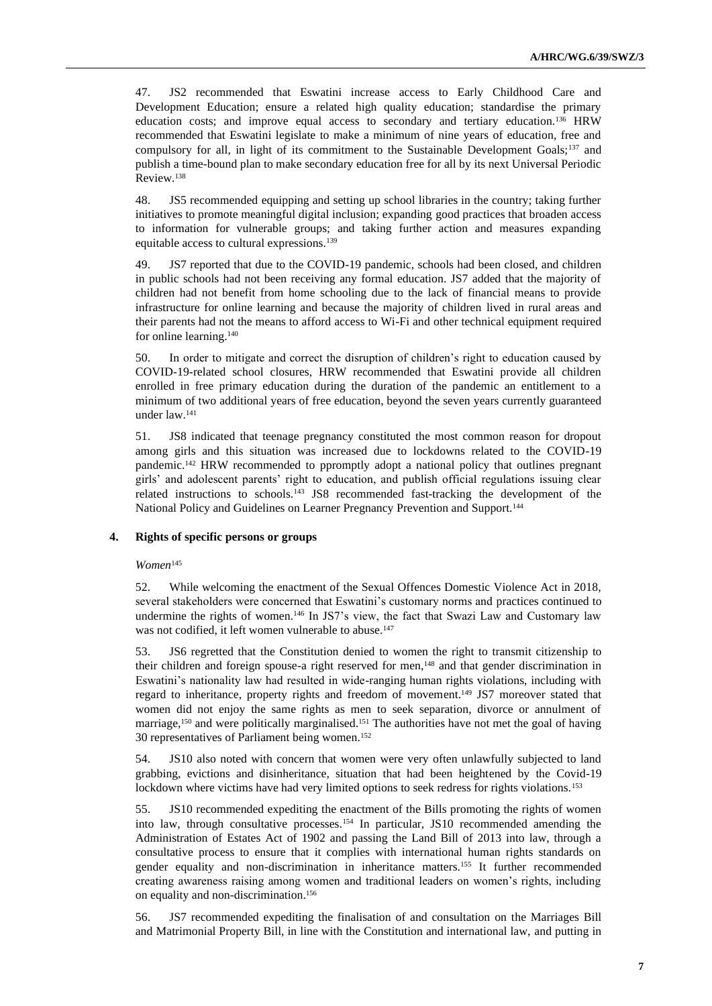47. JS2 recommended that Eswatini increase access to Early Childhood Care and Development Education; ensure a related high quality education; standardise the primary education costs; and improve equal access to secondary and tertiary education.<sup>136</sup> HRW recommended that Eswatini legislate to make a minimum of nine years of education, free and compulsory for all, in light of its commitment to the Sustainable Development Goals;<sup>137</sup> and publish a time-bound plan to make secondary education free for all by its next Universal Periodic Review.<sup>138</sup>

48. JS5 recommended equipping and setting up school libraries in the country; taking further initiatives to promote meaningful digital inclusion; expanding good practices that broaden access to information for vulnerable groups; and taking further action and measures expanding equitable access to cultural expressions.<sup>139</sup>

49. JS7 reported that due to the COVID-19 pandemic, schools had been closed, and children in public schools had not been receiving any formal education. JS7 added that the majority of children had not benefit from home schooling due to the lack of financial means to provide infrastructure for online learning and because the majority of children lived in rural areas and their parents had not the means to afford access to Wi-Fi and other technical equipment required for online learning.<sup>140</sup>

50. In order to mitigate and correct the disruption of children's right to education caused by COVID-19-related school closures, HRW recommended that Eswatini provide all children enrolled in free primary education during the duration of the pandemic an entitlement to a minimum of two additional years of free education, beyond the seven years currently guaranteed under law.<sup>141</sup>

51. JS8 indicated that teenage pregnancy constituted the most common reason for dropout among girls and this situation was increased due to lockdowns related to the COVID-19 pandemic.<sup>142</sup> HRW recommended to ppromptly adopt a national policy that outlines pregnant girls' and adolescent parents' right to education, and publish official regulations issuing clear related instructions to schools.<sup>143</sup> JS8 recommended fast-tracking the development of the National Policy and Guidelines on Learner Pregnancy Prevention and Support.<sup>144</sup>

#### **4. Rights of specific persons or groups**

#### *Women*<sup>145</sup>

52. While welcoming the enactment of the Sexual Offences Domestic Violence Act in 2018, several stakeholders were concerned that Eswatini's customary norms and practices continued to undermine the rights of women.<sup>146</sup> In JS7's view, the fact that Swazi Law and Customary law was not codified, it left women vulnerable to abuse.<sup>147</sup>

53. JS6 regretted that the Constitution denied to women the right to transmit citizenship to their children and foreign spouse-a right reserved for men,<sup>148</sup> and that gender discrimination in Eswatini's nationality law had resulted in wide-ranging human rights violations, including with regard to inheritance, property rights and freedom of movement.<sup>149</sup> JS7 moreover stated that women did not enjoy the same rights as men to seek separation, divorce or annulment of marriage,<sup>150</sup> and were politically marginalised.<sup>151</sup> The authorities have not met the goal of having 30 representatives of Parliament being women.<sup>152</sup>

54. JS10 also noted with concern that women were very often unlawfully subjected to land grabbing, evictions and disinheritance, situation that had been heightened by the Covid-19 lockdown where victims have had very limited options to seek redress for rights violations.<sup>153</sup>

55. JS10 recommended expediting the enactment of the Bills promoting the rights of women into law, through consultative processes.<sup>154</sup> In particular, JS10 recommended amending the Administration of Estates Act of 1902 and passing the Land Bill of 2013 into law, through a consultative process to ensure that it complies with international human rights standards on gender equality and non-discrimination in inheritance matters.<sup>155</sup> It further recommended creating awareness raising among women and traditional leaders on women's rights, including on equality and non-discrimination.<sup>156</sup>

56. JS7 recommended expediting the finalisation of and consultation on the Marriages Bill and Matrimonial Property Bill, in line with the Constitution and international law, and putting in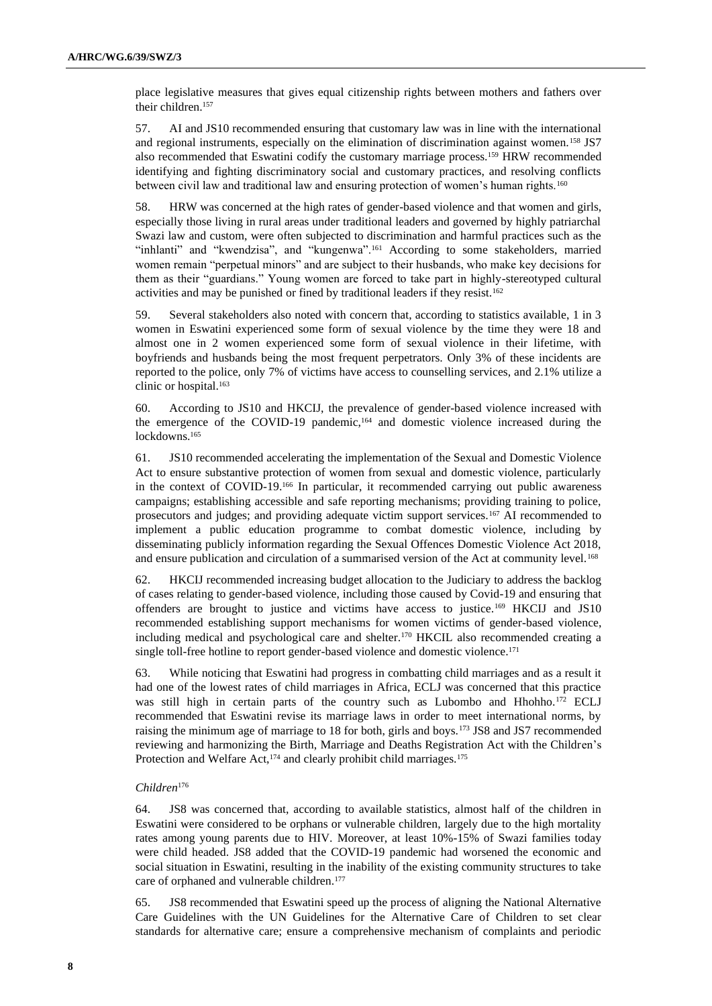place legislative measures that gives equal citizenship rights between mothers and fathers over their children.<sup>157</sup>

57. AI and JS10 recommended ensuring that customary law was in line with the international and regional instruments, especially on the elimination of discrimination against women.<sup>158</sup> JS7 also recommended that Eswatini codify the customary marriage process.<sup>159</sup> HRW recommended identifying and fighting discriminatory social and customary practices, and resolving conflicts between civil law and traditional law and ensuring protection of women's human rights.<sup>160</sup>

58. HRW was concerned at the high rates of gender-based violence and that women and girls, especially those living in rural areas under traditional leaders and governed by highly patriarchal Swazi law and custom, were often subjected to discrimination and harmful practices such as the "inhlanti" and "kwendzisa", and "kungenwa".<sup>161</sup> According to some stakeholders, married women remain "perpetual minors" and are subject to their husbands, who make key decisions for them as their "guardians." Young women are forced to take part in highly-stereotyped cultural activities and may be punished or fined by traditional leaders if they resist.<sup>162</sup>

59. Several stakeholders also noted with concern that, according to statistics available, 1 in 3 women in Eswatini experienced some form of sexual violence by the time they were 18 and almost one in 2 women experienced some form of sexual violence in their lifetime, with boyfriends and husbands being the most frequent perpetrators. Only 3% of these incidents are reported to the police, only 7% of victims have access to counselling services, and 2.1% utilize a clinic or hospital.<sup>163</sup>

60. According to JS10 and HKCIJ, the prevalence of gender-based violence increased with the emergence of the COVID-19 pandemic,<sup>164</sup> and domestic violence increased during the lockdowns.<sup>165</sup>

61. JS10 recommended accelerating the implementation of the Sexual and Domestic Violence Act to ensure substantive protection of women from sexual and domestic violence, particularly in the context of COVID-19.<sup>166</sup> In particular, it recommended carrying out public awareness campaigns; establishing accessible and safe reporting mechanisms; providing training to police, prosecutors and judges; and providing adequate victim support services.<sup>167</sup> AI recommended to implement a public education programme to combat domestic violence, including by disseminating publicly information regarding the Sexual Offences Domestic Violence Act 2018, and ensure publication and circulation of a summarised version of the Act at community level.<sup>168</sup>

62. HKCIJ recommended increasing budget allocation to the Judiciary to address the backlog of cases relating to gender-based violence, including those caused by Covid-19 and ensuring that offenders are brought to justice and victims have access to justice.<sup>169</sup> HKCIJ and JS10 recommended establishing support mechanisms for women victims of gender-based violence, including medical and psychological care and shelter.<sup>170</sup> HKCIL also recommended creating a single toll-free hotline to report gender-based violence and domestic violence.<sup>171</sup>

63. While noticing that Eswatini had progress in combatting child marriages and as a result it had one of the lowest rates of child marriages in Africa, ECLJ was concerned that this practice was still high in certain parts of the country such as Lubombo and Hhohho.<sup>172</sup> ECLJ recommended that Eswatini revise its marriage laws in order to meet international norms, by raising the minimum age of marriage to 18 for both, girls and boys.<sup>173</sup> JS8 and JS7 recommended reviewing and harmonizing the Birth, Marriage and Deaths Registration Act with the Children's Protection and Welfare Act,<sup>174</sup> and clearly prohibit child marriages.<sup>175</sup>

### *Children*<sup>176</sup>

64. JS8 was concerned that, according to available statistics, almost half of the children in Eswatini were considered to be orphans or vulnerable children, largely due to the high mortality rates among young parents due to HIV. Moreover, at least 10%-15% of Swazi families today were child headed. JS8 added that the COVID-19 pandemic had worsened the economic and social situation in Eswatini, resulting in the inability of the existing community structures to take care of orphaned and vulnerable children.<sup>177</sup>

65. JS8 recommended that Eswatini speed up the process of aligning the National Alternative Care Guidelines with the UN Guidelines for the Alternative Care of Children to set clear standards for alternative care; ensure a comprehensive mechanism of complaints and periodic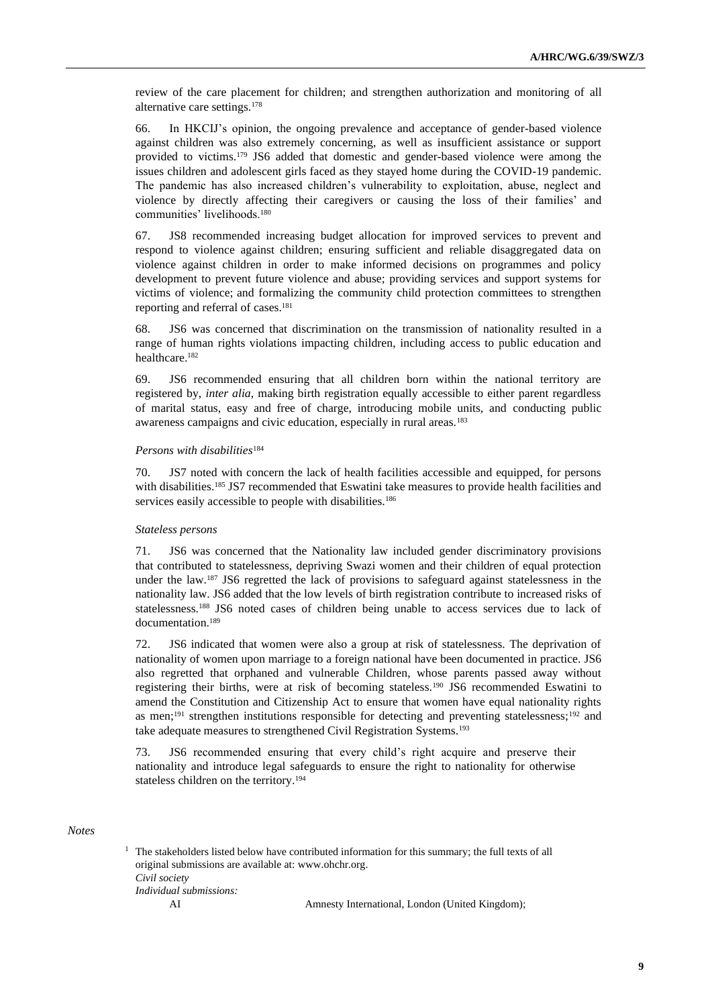review of the care placement for children; and strengthen authorization and monitoring of all alternative care settings.<sup>178</sup>

66. In HKCIJ's opinion, the ongoing prevalence and acceptance of gender-based violence against children was also extremely concerning, as well as insufficient assistance or support provided to victims.<sup>179</sup> JS6 added that domestic and gender-based violence were among the issues children and adolescent girls faced as they stayed home during the COVID-19 pandemic. The pandemic has also increased children's vulnerability to exploitation, abuse, neglect and violence by directly affecting their caregivers or causing the loss of their families' and communities' livelihoods.<sup>180</sup>

67. JS8 recommended increasing budget allocation for improved services to prevent and respond to violence against children; ensuring sufficient and reliable disaggregated data on violence against children in order to make informed decisions on programmes and policy development to prevent future violence and abuse; providing services and support systems for victims of violence; and formalizing the community child protection committees to strengthen reporting and referral of cases.<sup>181</sup>

68. JS6 was concerned that discrimination on the transmission of nationality resulted in a range of human rights violations impacting children, including access to public education and healthcare.<sup>182</sup>

69. JS6 recommended ensuring that all children born within the national territory are registered by, *inter alia*, making birth registration equally accessible to either parent regardless of marital status, easy and free of charge, introducing mobile units, and conducting public awareness campaigns and civic education, especially in rural areas.<sup>183</sup>

#### *Persons with disabilities*<sup>184</sup>

70. JS7 noted with concern the lack of health facilities accessible and equipped, for persons with disabilities.<sup>185</sup> JS7 recommended that Eswatini take measures to provide health facilities and services easily accessible to people with disabilities.<sup>186</sup>

#### *Stateless persons*

71. JS6 was concerned that the Nationality law included gender discriminatory provisions that contributed to statelessness, depriving Swazi women and their children of equal protection under the law.<sup>187</sup> JS6 regretted the lack of provisions to safeguard against statelessness in the nationality law. JS6 added that the low levels of birth registration contribute to increased risks of statelessness.<sup>188</sup> JS6 noted cases of children being unable to access services due to lack of documentation.<sup>189</sup>

72. JS6 indicated that women were also a group at risk of statelessness. The deprivation of nationality of women upon marriage to a foreign national have been documented in practice. JS6 also regretted that orphaned and vulnerable Children, whose parents passed away without registering their births, were at risk of becoming stateless.<sup>190</sup> JS6 recommended Eswatini to amend the Constitution and Citizenship Act to ensure that women have equal nationality rights as men;<sup>191</sup> strengthen institutions responsible for detecting and preventing statelessness;<sup>192</sup> and take adequate measures to strengthened Civil Registration Systems.<sup>193</sup>

73. JS6 recommended ensuring that every child's right acquire and preserve their nationality and introduce legal safeguards to ensure the right to nationality for otherwise stateless children on the territory.<sup>194</sup>

#### *Notes*

 $1$  The stakeholders listed below have contributed information for this summary; the full texts of all original submissions are available at: [www.ohchr.org.](http://www.ohchr.org/) *Civil society Individual submissions:* AI Amnesty International, London (United Kingdom);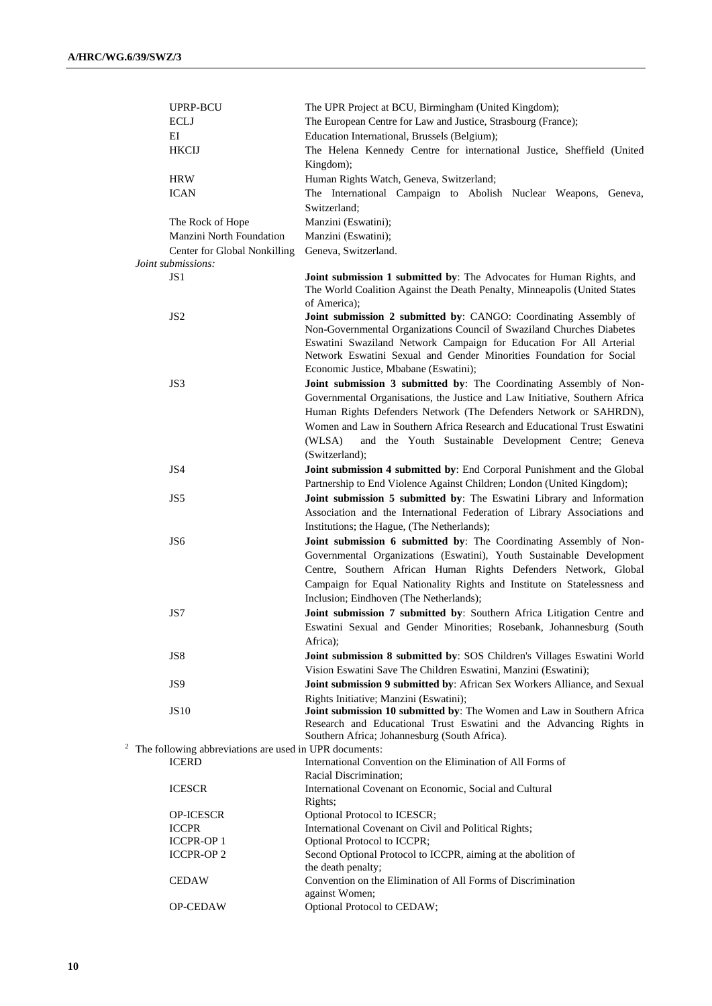| UPRP-BCU                                               | The UPR Project at BCU, Birmingham (United Kingdom);                                                                                                                                                               |
|--------------------------------------------------------|--------------------------------------------------------------------------------------------------------------------------------------------------------------------------------------------------------------------|
| <b>ECLJ</b>                                            | The European Centre for Law and Justice, Strasbourg (France);                                                                                                                                                      |
| EI                                                     | Education International, Brussels (Belgium);                                                                                                                                                                       |
| <b>HKCIJ</b>                                           | The Helena Kennedy Centre for international Justice, Sheffield (United                                                                                                                                             |
|                                                        | Kingdom);                                                                                                                                                                                                          |
| <b>HRW</b>                                             | Human Rights Watch, Geneva, Switzerland;                                                                                                                                                                           |
| <b>ICAN</b>                                            | The International Campaign to Abolish Nuclear Weapons, Geneva,                                                                                                                                                     |
|                                                        | Switzerland;                                                                                                                                                                                                       |
| The Rock of Hope                                       | Manzini (Eswatini);                                                                                                                                                                                                |
| Manzini North Foundation                               | Manzini (Eswatini);                                                                                                                                                                                                |
| Center for Global Nonkilling                           | Geneva, Switzerland.                                                                                                                                                                                               |
| Joint submissions:                                     |                                                                                                                                                                                                                    |
| JS1                                                    | Joint submission 1 submitted by: The Advocates for Human Rights, and<br>The World Coalition Against the Death Penalty, Minneapolis (United States                                                                  |
| JS <sub>2</sub>                                        | of America);<br>Joint submission 2 submitted by: CANGO: Coordinating Assembly of                                                                                                                                   |
|                                                        | Non-Governmental Organizations Council of Swaziland Churches Diabetes<br>Eswatini Swaziland Network Campaign for Education For All Arterial<br>Network Eswatini Sexual and Gender Minorities Foundation for Social |
|                                                        | Economic Justice, Mbabane (Eswatini);                                                                                                                                                                              |
| JS3                                                    | Joint submission 3 submitted by: The Coordinating Assembly of Non-<br>Governmental Organisations, the Justice and Law Initiative, Southern Africa                                                                  |
|                                                        | Human Rights Defenders Network (The Defenders Network or SAHRDN),<br>Women and Law in Southern Africa Research and Educational Trust Eswatini<br>(WLSA)<br>and the Youth Sustainable Development Centre; Geneva    |
|                                                        | (Switzerland);                                                                                                                                                                                                     |
| JS4                                                    | Joint submission 4 submitted by: End Corporal Punishment and the Global                                                                                                                                            |
|                                                        | Partnership to End Violence Against Children; London (United Kingdom);                                                                                                                                             |
| JS5                                                    | Joint submission 5 submitted by: The Eswatini Library and Information                                                                                                                                              |
|                                                        | Association and the International Federation of Library Associations and                                                                                                                                           |
|                                                        | Institutions; the Hague, (The Netherlands);                                                                                                                                                                        |
| JS <sub>6</sub>                                        | Joint submission 6 submitted by: The Coordinating Assembly of Non-                                                                                                                                                 |
|                                                        | Governmental Organizations (Eswatini), Youth Sustainable Development                                                                                                                                               |
|                                                        | Centre, Southern African Human Rights Defenders Network, Global                                                                                                                                                    |
|                                                        | Campaign for Equal Nationality Rights and Institute on Statelessness and                                                                                                                                           |
|                                                        | Inclusion; Eindhoven (The Netherlands);                                                                                                                                                                            |
| JS7                                                    | Joint submission 7 submitted by: Southern Africa Litigation Centre and                                                                                                                                             |
|                                                        | Eswatini Sexual and Gender Minorities; Rosebank, Johannesburg (South                                                                                                                                               |
|                                                        | Africa);                                                                                                                                                                                                           |
| JS8                                                    | Joint submission 8 submitted by: SOS Children's Villages Eswatini World                                                                                                                                            |
|                                                        | Vision Eswatini Save The Children Eswatini, Manzini (Eswatini);                                                                                                                                                    |
| JS9                                                    | Joint submission 9 submitted by: African Sex Workers Alliance, and Sexual                                                                                                                                          |
|                                                        | Rights Initiative; Manzini (Eswatini);                                                                                                                                                                             |
| <b>JS10</b>                                            | Joint submission 10 submitted by: The Women and Law in Southern Africa                                                                                                                                             |
|                                                        | Research and Educational Trust Eswatini and the Advancing Rights in                                                                                                                                                |
|                                                        | Southern Africa; Johannesburg (South Africa).                                                                                                                                                                      |
| The following abbreviations are used in UPR documents: |                                                                                                                                                                                                                    |
| <b>ICERD</b>                                           | International Convention on the Elimination of All Forms of                                                                                                                                                        |
|                                                        | Racial Discrimination:                                                                                                                                                                                             |
| <b>ICESCR</b>                                          | International Covenant on Economic, Social and Cultural                                                                                                                                                            |
|                                                        | Rights;                                                                                                                                                                                                            |
| <b>OP-ICESCR</b>                                       | Optional Protocol to ICESCR;                                                                                                                                                                                       |
| <b>ICCPR</b>                                           | International Covenant on Civil and Political Rights;                                                                                                                                                              |
| <b>ICCPR-OP 1</b>                                      | Optional Protocol to ICCPR;                                                                                                                                                                                        |
| <b>ICCPR-OP 2</b>                                      | Second Optional Protocol to ICCPR, aiming at the abolition of                                                                                                                                                      |
| <b>CEDAW</b>                                           | the death penalty;<br>Convention on the Elimination of All Forms of Discrimination                                                                                                                                 |
|                                                        | against Women;                                                                                                                                                                                                     |
| <b>OP-CEDAW</b>                                        | Optional Protocol to CEDAW;                                                                                                                                                                                        |
|                                                        |                                                                                                                                                                                                                    |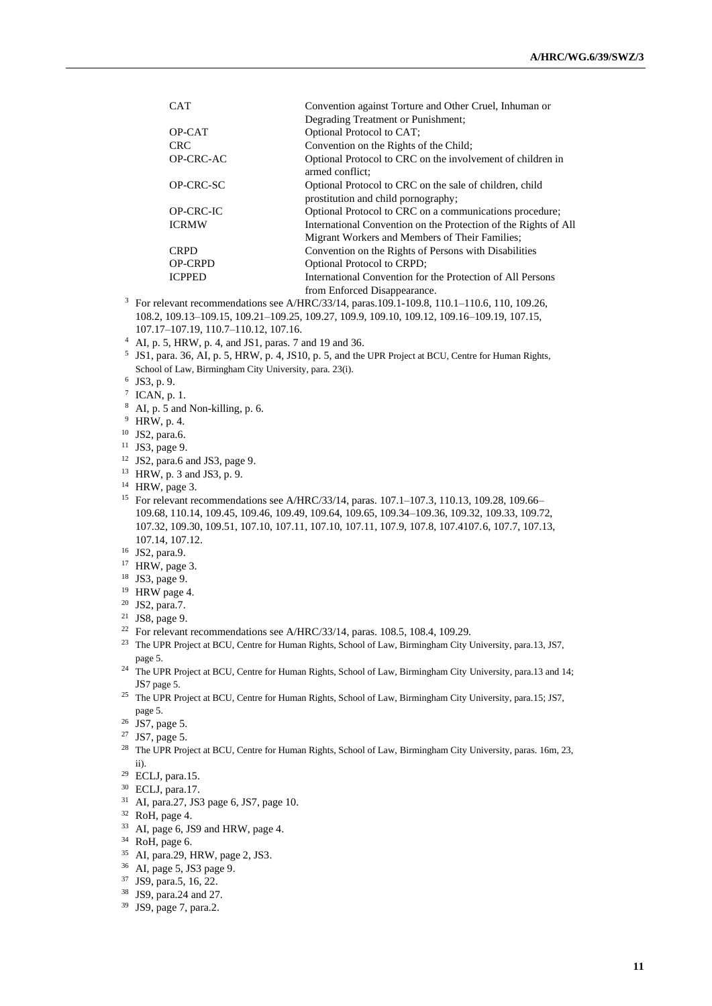| <b>CAT</b>     | Convention against Torture and Other Cruel, Inhuman or                                         |
|----------------|------------------------------------------------------------------------------------------------|
|                | Degrading Treatment or Punishment;                                                             |
| OP-CAT         | Optional Protocol to CAT;                                                                      |
| <b>CRC</b>     | Convention on the Rights of the Child;                                                         |
| OP-CRC-AC      | Optional Protocol to CRC on the involvement of children in<br>armed conflict:                  |
| OP-CRC-SC      | Optional Protocol to CRC on the sale of children, child<br>prostitution and child pornography; |
| OP-CRC-IC      | Optional Protocol to CRC on a communications procedure;                                        |
| <b>ICRMW</b>   | International Convention on the Protection of the Rights of All                                |
|                | Migrant Workers and Members of Their Families;                                                 |
| <b>CRPD</b>    | Convention on the Rights of Persons with Disabilities                                          |
| <b>OP-CRPD</b> | Optional Protocol to CRPD;                                                                     |
| <b>ICPPED</b>  | International Convention for the Protection of All Persons                                     |
|                | from Enforced Disappearance.                                                                   |
|                |                                                                                                |

- <sup>3</sup> For relevant recommendations see A/HRC/33/14, paras.109.1-109.8, 110.1-110.6, 110, 109.26, 108.2, 109.13–109.15, 109.21–109.25, 109.27, 109.9, 109.10, 109.12, 109.16–109.19, 107.15, 107.17–107.19, 110.7–110.12, 107.16.
- <sup>4</sup> AI, p. 5, HRW, p. 4, and JS1, paras. 7 and 19 and 36.
- 5 JS1, para. 36, AI, p. 5, HRW, p. 4, JS10, p. 5, and the UPR Project at BCU, Centre for Human Rights, School of Law, Birmingham City University, para. 23(i).
- 6 JS3, p. 9.
- $<sup>7</sup>$  ICAN, p. 1.</sup>
- <sup>8</sup> AI, p. 5 and Non-killing, p. 6.
- <sup>9</sup> HRW, p. 4.
- <sup>10</sup> JS2, para.6.
- <sup>11</sup> JS3, page 9.
- <sup>12</sup> JS2, para.6 and JS3, page 9.
- <sup>13</sup> HRW, p. 3 and JS3, p. 9.
- <sup>14</sup> HRW, page 3.
- <sup>15</sup> For relevant recommendations see A/HRC/33/14, paras. 107.1–107.3, 110.13, 109.28, 109.66– 109.68, 110.14, 109.45, 109.46, 109.49, 109.64, 109.65, 109.34–109.36, 109.32, 109.33, 109.72, 107.32, 109.30, 109.51, 107.10, 107.11, 107.10, 107.11, 107.9, 107.8, 107.4107.6, 107.7, 107.13, 107.14, 107.12.
- <sup>16</sup> JS2, para.9.
- <sup>17</sup> HRW, page 3.
- <sup>18</sup> JS3, page 9.
- <sup>19</sup> HRW page 4.
- <sup>20</sup> JS2, para.7.
- <sup>21</sup> JS8, page 9.
- <sup>22</sup> For relevant recommendations see A/HRC/33/14, paras. 108.5, 108.4, 109.29.
- <sup>23</sup> The UPR Project at BCU, Centre for Human Rights, School of Law, Birmingham City University, para.13, JS7, page 5.
- <sup>24</sup> The UPR Project at BCU, Centre for Human Rights, School of Law, Birmingham City University, para.13 and 14; JS7 page 5.
- <sup>25</sup> The UPR Project at BCU, Centre for Human Rights, School of Law, Birmingham City University, para.15; JS7, page 5.
- <sup>26</sup> JS7, page 5.
- <sup>27</sup> JS7, page 5.
- <sup>28</sup> The UPR Project at BCU, Centre for Human Rights, School of Law, Birmingham City University, paras. 16m, 23, ii).
- <sup>29</sup> ECLJ, para.15.
- <sup>30</sup> ECLJ, para.17.
- <sup>31</sup> AI, para.27, JS3 page 6, JS7, page 10.
- <sup>32</sup> RoH, page 4.
- <sup>33</sup> AI, page 6, JS9 and HRW, page 4.
- <sup>34</sup> RoH, page 6.
- <sup>35</sup> AI, para.29, HRW, page 2, JS3.
- <sup>36</sup> AI, page 5, JS3 page 9.
- <sup>37</sup> JS9, para.5, 16, 22.
- <sup>38</sup> JS9, para.24 and 27.
- <sup>39</sup> JS9, page 7, para.2.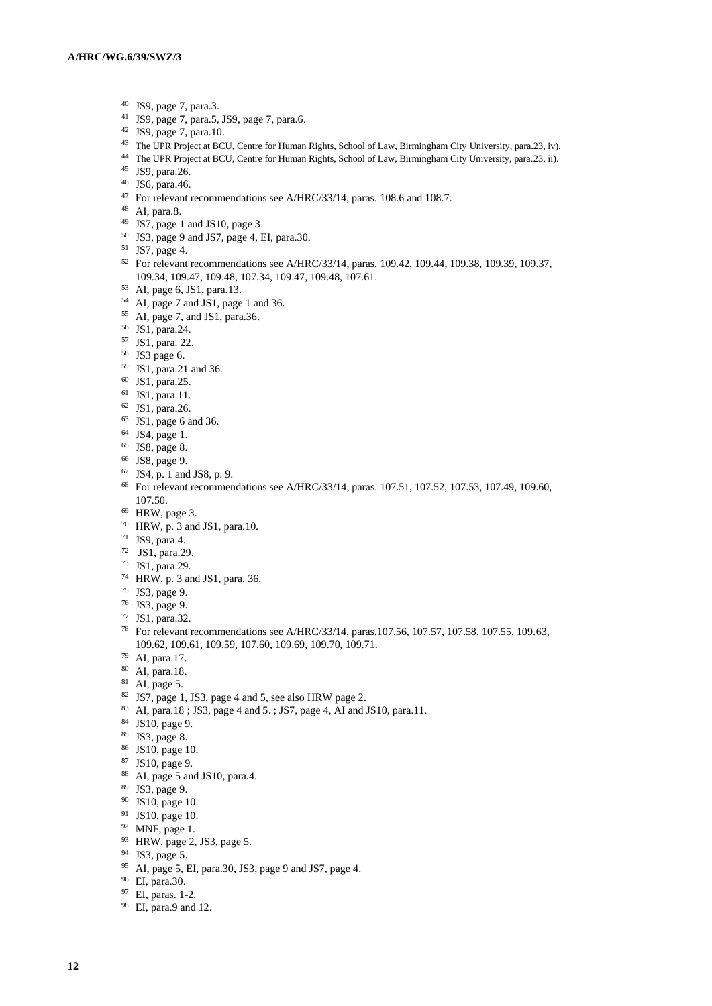- JS9, page 7, para.3.
- JS9, page 7, para.5, JS9, page 7, para.6.
- JS9, page 7, para.10.
- The UPR Project at BCU, Centre for Human Rights, School of Law, Birmingham City University, para.23, iv).
- The UPR Project at BCU, Centre for Human Rights, School of Law, Birmingham City University, para.23, ii).
- JS9, para.26.
- JS6, para.46.
- <sup>47</sup> For relevant recommendations see A/HRC/33/14, paras. 108.6 and 108.7.
- AI, para.8.
- JS7, page 1 and JS10, page 3.
- JS3, page 9 and JS7, page 4, EI, para.30.
- JS7, page 4.
- For relevant recommendations see A/HRC/33/14, paras. 109.42, 109.44, 109.38, 109.39, 109.37, 109.34, 109.47, 109.48, 107.34, 109.47, 109.48, 107.61.
- AI, page 6, JS1, para.13.
- AI, page 7 and JS1, page 1 and 36.
- AI, page 7, and JS1, para.36.
- JS1, para.24.
- JS1, para. 22.
- JS3 page 6.
- JS1, para.21 and 36.
- JS1, para.25.
- JS1, para.11.
- JS1, para.26.
- JS1, page 6 and 36.
- JS4, page 1.
- JS8, page 8.
- JS8, page 9.
- JS4, p. 1 and JS8, p. 9.
- For relevant recommendations see A/HRC/33/14, paras. 107.51, 107.52, 107.53, 107.49, 109.60, 107.50.
- HRW, page 3.
- HRW, p. 3 and JS1, para.10.
- JS9, para.4.
- JS1, para.29.
- JS1, para.29.
- HRW, p. 3 and JS1, para. 36.
- JS3, page 9.
- JS3, page 9.
- JS1, para.32.
- For relevant recommendations see A/HRC/33/14, paras.107.56, 107.57, 107.58, 107.55, 109.63, 109.62, 109.61, 109.59, 107.60, 109.69, 109.70, 109.71.
- AI, para.17.
- AI, para.18.
- AI, page 5.
- JS7, page 1, JS3, page 4 and 5, see also HRW page 2.
- AI, para.18 ; JS3, page 4 and 5. ; JS7, page 4, AI and JS10, para.11.
- JS10, page 9.
- JS3, page 8.
- JS10, page 10.
- JS10, page 9.
- AI, page 5 and JS10, para.4.
- JS3, page 9.
- JS10, page 10.
- JS10, page 10.
- MNF, page 1.
- HRW, page 2, JS3, page 5.
- JS3, page 5.
- AI, page 5, EI, para.30, JS3, page 9 and JS7, page 4.
- EI, para.30.
- EI, paras. 1-2.
- EI, para.9 and 12.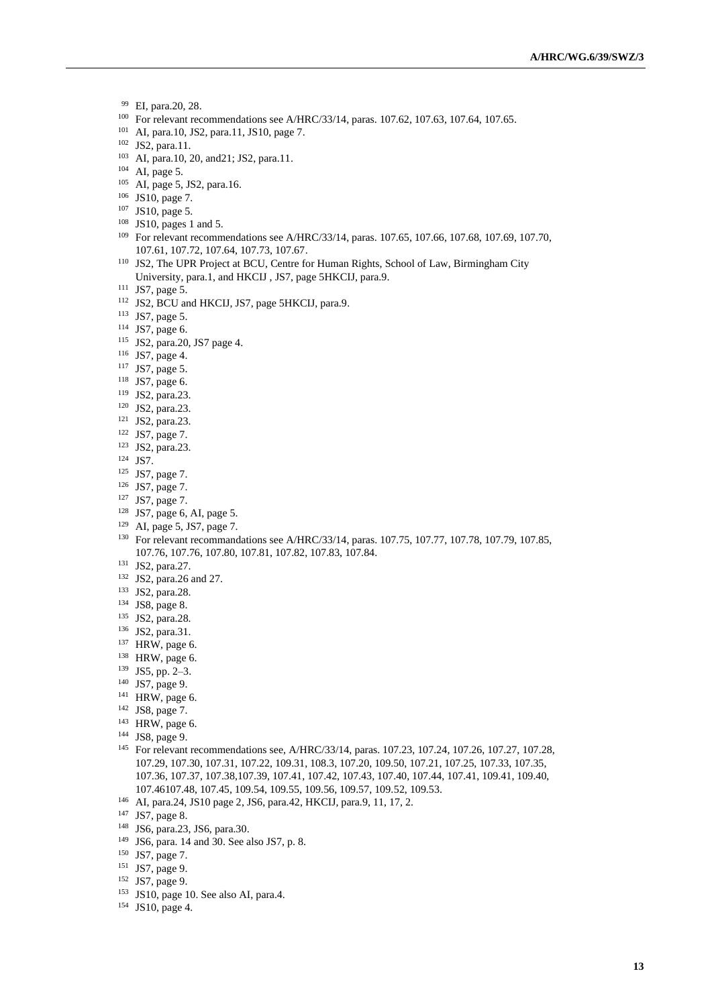- EI, para.20, 28.
- <sup>100</sup> For relevant recommendations see A/HRC/33/14, paras. 107.62, 107.63, 107.64, 107.65.
- AI, para.10, JS2, para.11, JS10, page 7.
- JS2, para.11.
- AI, para.10, 20, and21; JS2, para.11.
- AI, page 5.
- AI, page 5, JS2, para.16.
- JS10, page 7.
- JS10, page 5.
- JS10, pages 1 and 5.
- For relevant recommendations see A/HRC/33/14, paras. 107.65, 107.66, 107.68, 107.69, 107.70, 107.61, 107.72, 107.64, 107.73, 107.67.
- JS2, The UPR Project at BCU, Centre for Human Rights, School of Law, Birmingham City University, para.1, and HKCIJ , JS7, page 5HKCIJ, para.9.
- JS7, page 5.
- 112 JS2, BCU and HKCIJ, JS7, page 5HKCIJ, para.9.
- JS7, page 5.
- JS7, page 6.
- JS2, para.20, JS7 page 4.
- JS7, page 4.
- JS7, page 5.
- JS7, page 6.
- JS2, para.23.
- JS2, para.23.
- JS2, para.23.
- JS7, page 7.
- JS2, para.23.
- JS7.
- JS7, page 7.
- JS7, page 7.
- JS7, page 7.
- JS7, page 6, AI, page 5.
- AI, page 5, JS7, page 7.
- <sup>130</sup> For relevant recommandations see A/HRC/33/14, paras. 107.75, 107.77, 107.78, 107.79, 107.85, 107.76, 107.76, 107.80, 107.81, 107.82, 107.83, 107.84.
- JS2, para.27.
- JS2, para.26 and 27.
- JS2, para.28.
- JS8, page 8.
- JS2, para.28.
- JS2, para.31.
- HRW, page 6.
- HRW, page 6.
- JS5, pp. 2–3.
- JS7, page 9.
- HRW, page 6.
- JS8, page 7.
- HRW, page 6.
- JS8, page 9.
- <sup>145</sup> For relevant recommendations see, A/HRC/33/14, paras. 107.23, 107.24, 107.26, 107.27, 107.28, 107.29, 107.30, 107.31, 107.22, 109.31, 108.3, 107.20, 109.50, 107.21, 107.25, 107.33, 107.35, 107.36, 107.37, 107.38,107.39, 107.41, 107.42, 107.43, 107.40, 107.44, 107.41, 109.41, 109.40, 107.46107.48, 107.45, 109.54, 109.55, 109.56, 109.57, 109.52, 109.53.
- AI, para.24, JS10 page 2, JS6, para.42, HKCIJ, para.9, 11, 17, 2.
- JS7, page 8.
- JS6, para.23, JS6, para.30.
- JS6, para. 14 and 30. See also JS7, p. 8.
- JS7, page 7.
- JS7, page 9.
- JS7, page 9.
- JS10, page 10. See also AI, para.4.
- JS10, page 4.